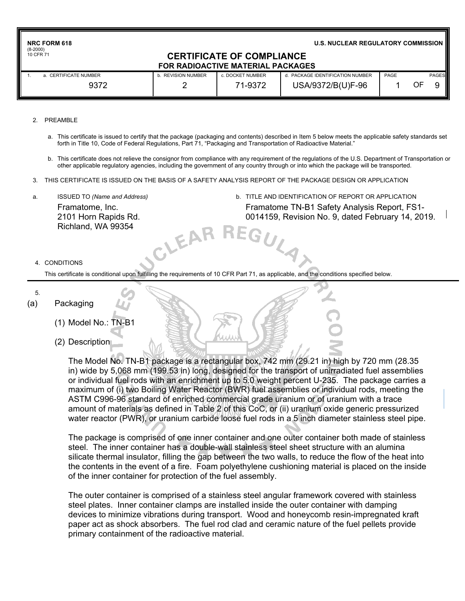| <b>NRC FORM 618</b><br>$(8-2000)$ |                                                                       |                  | <b>U.S. NUCLEAR REGULATORY COMMISSION</b> |      |    |       |
|-----------------------------------|-----------------------------------------------------------------------|------------------|-------------------------------------------|------|----|-------|
| 10 CFR 71                         | <b>CERTIFICATE OF COMPLIANCE</b><br>FOR RADIOACTIVE MATERIAL PACKAGES |                  |                                           |      |    |       |
| a. CERTIFICATE NUMBER             | <b>b. REVISION NUMBER</b>                                             | c. DOCKET NUMBER | d. PACKAGE IDENTIFICATION NUMBER          | PAGE |    | PAGES |
| 9372                              |                                                                       | 71-9372          | USA/9372/B(U)F-96                         |      | OF |       |

#### 2. PREAMBLE

- a. This certificate is issued to certify that the package (packaging and contents) described in Item 5 below meets the applicable safety standards set forth in Title 10, Code of Federal Regulations, Part 71, "Packaging and Transportation of Radioactive Material."
- b. This certificate does not relieve the consignor from compliance with any requirement of the regulations of the U.S. Department of Transportation or other applicable regulatory agencies, including the government of any country through or into which the package will be transported.

GULA

- 3. THIS CERTIFICATE IS ISSUED ON THE BASIS OF A SAFETY ANALYSIS REPORT OF THE PACKAGE DESIGN OR APPLICATION
- Framatome, Inc. 2101 Horn Rapids Rd. Richland, WA 99354
- a. ISSUED TO *(Name and Address)* b. TITLE AND IDENTIFICATION OF REPORT OR APPLICATION Framatome TN-B1 Safety Analysis Report, FS1- 0014159, Revision No. 9, dated February 14, 2019.

#### 4. CONDITIONS

This certificate is conditional upon fulfilling the requirements of 10 CFR Part 71, as applicable, and the conditions specified below.

CLEAF

5.

#### (a) Packaging

- (1) Model No.: TN-B1
- (2) Description

The Model No. TN-B1 package is a rectangular box, 742 mm (29.21 in) high by 720 mm (28.35 in) wide by 5,068 mm (199.53 in) long, designed for the transport of unirradiated fuel assemblies or individual fuel rods with an enrichment up to 5.0 weight percent U-235. The package carries a maximum of (i) two Boiling Water Reactor (BWR) fuel assemblies or individual rods, meeting the ASTM C996-96 standard of enriched commercial grade uranium or of uranium with a trace amount of materials as defined in Table 2 of this CoC, or (ii) uranium oxide generic pressurized water reactor (PWR), or uranium carbide loose fuel rods in a 5 inch diameter stainless steel pipe.

The package is comprised of one inner container and one outer container both made of stainless steel. The inner container has a double-wall stainless steel sheet structure with an alumina silicate thermal insulator, filling the gap between the two walls, to reduce the flow of the heat into the contents in the event of a fire. Foam polyethylene cushioning material is placed on the inside of the inner container for protection of the fuel assembly.

The outer container is comprised of a stainless steel angular framework covered with stainless steel plates. Inner container clamps are installed inside the outer container with damping devices to minimize vibrations during transport. Wood and honeycomb resin-impregnated kraft paper act as shock absorbers. The fuel rod clad and ceramic nature of the fuel pellets provide primary containment of the radioactive material.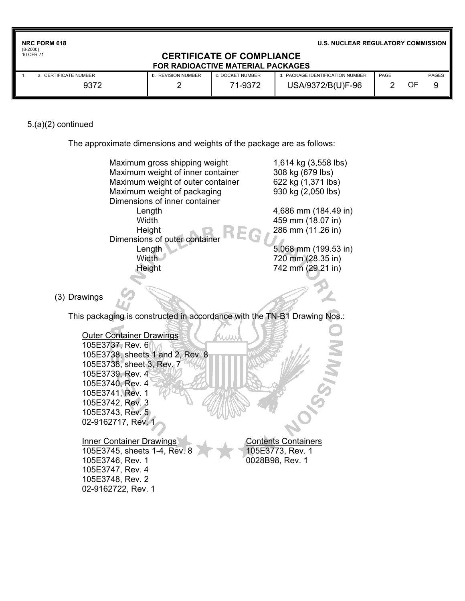| <b>NRC FORM 618</b> |
|---------------------|
| $(8-2000)$          |
| 10 CFR 71           |

**U.S. NUCLEAR REGULATORY COMMISSION**

## **CERTIFICATE OF COMPLIANCE FOR RADIOACTIVE MATERIAL PACKAGES**

| a. CERTIFICATE NUMBER | <b>REVISION NUMBER</b> | . DOCKET NUMBER | PACKAGE IDENTIFICATION NUMBER | PAGE |    | <b>PAGES</b> |
|-----------------------|------------------------|-----------------|-------------------------------|------|----|--------------|
| 9372                  |                        | 1-9372<br>74    | USA/9372/B(U)F-96             |      | ОF |              |

# 5.(a)(2) continued

The approximate dimensions and weights of the package are as follows:

|              | Maximum gross shipping weight<br>Maximum weight of inner container<br>Maximum weight of outer container<br>Maximum weight of packaging<br>Dimensions of inner container<br>Length<br>Width<br>Height<br>Dimensions of outer container<br>Length<br><b>Width</b><br>Height       | 1,614 kg (3,558 lbs)<br>308 kg (679 lbs)<br>622 kg (1,371 lbs)<br>930 kg (2,050 lbs)<br>4,686 mm (184.49 in)<br>459 mm (18.07 in)<br>286 mm (11.26 in)<br>5,068 mm (199.53 in)<br>720 mm (28.35 in)<br>742 mm (29.21 in) |
|--------------|---------------------------------------------------------------------------------------------------------------------------------------------------------------------------------------------------------------------------------------------------------------------------------|--------------------------------------------------------------------------------------------------------------------------------------------------------------------------------------------------------------------------|
| (3) Drawings |                                                                                                                                                                                                                                                                                 |                                                                                                                                                                                                                          |
|              | This packaging is constructed in accordance with the TN-B1 Drawing Nos.:                                                                                                                                                                                                        |                                                                                                                                                                                                                          |
|              | <b>Outer Container Drawings</b><br>105E3737, Rev. 6<br>105E3738, sheets 1 and 2, Rev. 8<br>105E3738, sheet 3, Rev. 7<br>105E3739, Rev. 4<br>105E3740, Rev. 4<br>105E3741, Rev. 1<br>105E3742, Rev. 3<br>105E3743, Rev. 5<br>02-9162717, Rev.<br><b>Inner Container Drawings</b> | <b>Contents Containers</b>                                                                                                                                                                                               |
|              | 105E3745, sheets 1-4, Rev. 8<br>105E3746, Rev. 1<br>105E3747, Rev. 4<br>105E3748, Rev. 2<br>02-9162722, Rev. 1                                                                                                                                                                  | 105E3773, Rev. 1<br>0028B98, Rev. 1                                                                                                                                                                                      |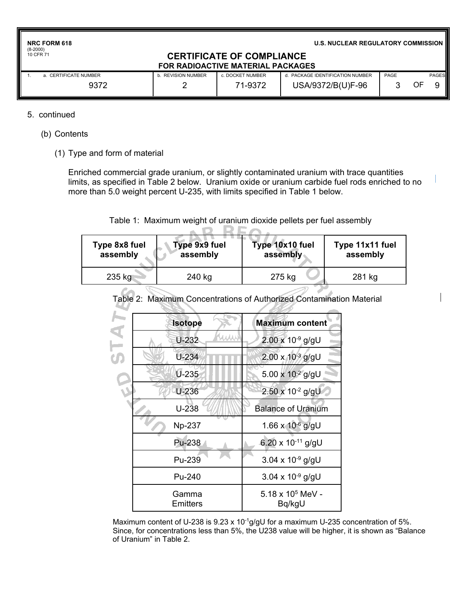| <b>NRC FORM 618</b> |  |
|---------------------|--|
| $(8-2000)$          |  |
| 10 CFR 71           |  |

**U.S. NUCLEAR REGULATORY COMMISSION**

## **CERTIFICATE OF COMPLIANCE FOR RADIOACTIVE MATERIAL PACKAGES**

| a. CERTIFICATE NUMBER | b. REVISION NUMBER | : DOCKET NUMBER | . PACKAGE IDENTIFICATION NUMBER | PAGE | <b>PAGES</b> |
|-----------------------|--------------------|-----------------|---------------------------------|------|--------------|
| 9372                  |                    | 71-9372         | USA/9372/B(U)F-96               |      | OF           |

### 5. continued

- (b) Contents
	- (1) Type and form of material

Enriched commercial grade uranium, or slightly contaminated uranium with trace quantities limits, as specified in Table 2 below. Uranium oxide or uranium carbide fuel rods enriched to no more than 5.0 weight percent U-235, with limits specified in Table 1 below.

## Table 1: Maximum weight of uranium dioxide pellets per fuel assembly

| Type 9x9 fuel<br>Type 8x8 fuel<br>assembly<br>assembly |        | Type 10x10 fuel<br>assembly | Type 11x11 fuel<br>assembly |  |  |
|--------------------------------------------------------|--------|-----------------------------|-----------------------------|--|--|
| 235 kg                                                 | 240 kg | 275 kg                      | 281 kg                      |  |  |

| <b>Isotope</b>    | <b>Maximum content</b>             |  |  |
|-------------------|------------------------------------|--|--|
| U-232             | $2.00 \times 10^{-9}$ g/gU         |  |  |
| $U-234$           | $2.00 \times 10^{-3}$ g/gU         |  |  |
| $U - 235$         | 5.00 x $10^{-2}$ g/gU              |  |  |
| $U - 236$         | 2.50 x 10-2 g/gU                   |  |  |
| $U-238$           | <b>Balance of Uranium</b>          |  |  |
| <b>Np-237</b>     | 1.66 x 10-6 g/gU                   |  |  |
| Pu-238            | 6.20 x 10 <sup>-11</sup> g/gU      |  |  |
| Pu-239            | $3.04 \times 10^{-9}$ g/gU         |  |  |
| Pu-240            | 3.04 x $10^{-9}$ g/gU              |  |  |
| Gamma<br>Emitters | $5.18 \times 10^5$ MeV -<br>Bq/kgU |  |  |

Table 2: Maximum Concentrations of Authorized Contamination Material

Maximum content of U-238 is 9.23 x 10<sup>-1</sup>g/gU for a maximum U-235 concentration of 5%. Since, for concentrations less than 5%, the U238 value will be higher, it is shown as "Balance of Uranium" in Table 2.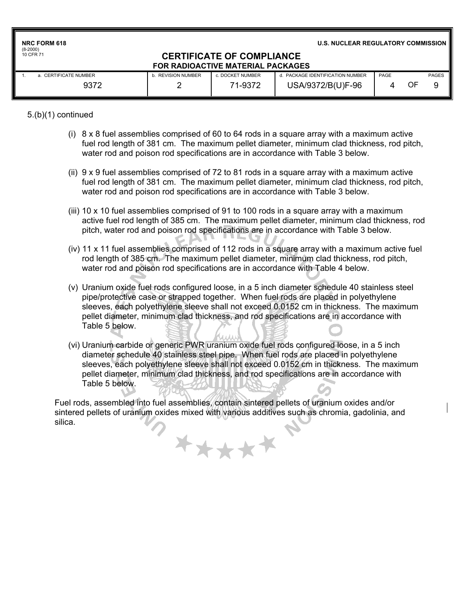**NRC FORM 618** (8-2000) 10 CFR 71

**U.S. NUCLEAR REGULATORY COMMISSION**

#### **CERTIFICATE OF COMPLIANCE FOR RADIOACTIVE MATERIAL PACKAGES**

| a. CERTIFICATE NUMBER | b. REVISION NUMBER | . DOCKET NUMBER | d. PACKAGE IDENTIFICATION NUMBER | PAGE |    | <b>PAGES</b> |
|-----------------------|--------------------|-----------------|----------------------------------|------|----|--------------|
| 9372                  |                    | 71-9372         | USA/9372/B(U)F-96                |      | OF |              |

5.(b)(1) continued

- (i)  $8 \times 8$  fuel assemblies comprised of 60 to 64 rods in a square array with a maximum active fuel rod length of 381 cm. The maximum pellet diameter, minimum clad thickness, rod pitch, water rod and poison rod specifications are in accordance with Table 3 below.
- (ii) 9 x 9 fuel assemblies comprised of 72 to 81 rods in a square array with a maximum active fuel rod length of 381 cm. The maximum pellet diameter, minimum clad thickness, rod pitch, water rod and poison rod specifications are in accordance with Table 3 below.
- (iii) 10 x 10 fuel assemblies comprised of 91 to 100 rods in a square array with a maximum active fuel rod length of 385 cm. The maximum pellet diameter, minimum clad thickness, rod pitch, water rod and poison rod specifications are in accordance with Table 3 below.
- (iv) 11 x 11 fuel assemblies comprised of 112 rods in a square array with a maximum active fuel rod length of 385 cm. The maximum pellet diameter, minimum clad thickness, rod pitch, water rod and poison rod specifications are in accordance with Table 4 below.
- (v) Uranium oxide fuel rods configured loose, in a 5 inch diameter schedule 40 stainless steel pipe/protective case or strapped together. When fuel rods are placed in polyethylene sleeves, each polyethylene sleeve shall not exceed 0.0152 cm in thickness. The maximum pellet diameter, minimum clad thickness, and rod specifications are in accordance with Table 5 below.
- (vi) Uranium carbide or generic PWR uranium oxide fuel rods configured loose, in a 5 inch diameter schedule 40 stainless steel pipe. When fuel rods are placed in polyethylene sleeves, each polyethylene sleeve shall not exceed 0.0152 cm in thickness. The maximum pellet diameter, minimum clad thickness, and rod specifications are in accordance with Table 5 below.

Fuel rods, assembled into fuel assemblies, contain sintered pellets of uranium oxides and/or sintered pellets of uranium oxides mixed with various additives such as chromia, gadolinia, and silica.

\*\*\*\*\*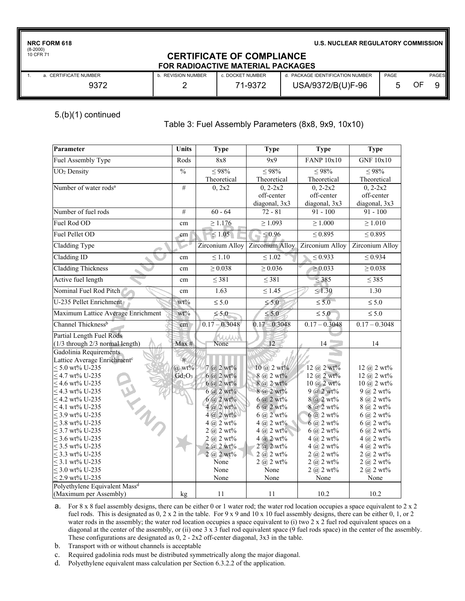**NRC FORM 618**

(8-2000) 10 CFR 71

**U.S. NUCLEAR REGULATORY COMMISSION**

#### **CERTIFICATE OF COMPLIANCE FOR RADIOACTIVE MATERIAL PACKAGES**

| a.  CERTIFICATE NUMBER | . REVISION NUMBER | c. DOCKET NUMBER | d. PACKAGE IDENTIFICATION NUMBER | PAGE | <b>PAGES</b> |  |
|------------------------|-------------------|------------------|----------------------------------|------|--------------|--|
| ∩רכ∩                   |                   | $1 - 937$        | USA/9372/B(U)F-96                |      | OF           |  |

### 5.(b)(1) continued

#### Table 3: Fuel Assembly Parameters (8x8, 9x9, 10x10)

| Parameter                                 | Units                    | <b>Type</b>               | <b>Type</b>                       | <b>Type</b>                    | <b>Type</b>                     |
|-------------------------------------------|--------------------------|---------------------------|-----------------------------------|--------------------------------|---------------------------------|
| Fuel Assembly Type                        | Rods                     | 8x8                       | 9x9                               | <b>FANP 10x10</b>              | <b>GNF 10x10</b>                |
| UO <sub>2</sub> Density                   | $\overline{\frac{0}{0}}$ | $\leq 98\%$               | $\leq 98\%$                       | $\leq 98\%$                    | $\leq$ 98%                      |
|                                           |                          | Theoretical               | Theoretical                       | Theoretical                    | Theoretical                     |
| Number of water rods <sup>a</sup>         | $\#$                     | 0, 2x2                    | $0, 2-2x2$                        | $0, 2-2x2$                     | $0, 2-2x2$                      |
|                                           |                          |                           | off-center                        | off-center                     | off-center                      |
|                                           |                          |                           | diagonal, 3x3                     | diagonal, 3x3                  | diagonal, 3x3                   |
| Number of fuel rods                       | #                        | $60 - 64$                 | $72 - 81$                         | $91 - 100$                     | $91 - 100$                      |
| Fuel Rod OD                               | cm                       | $\geq 1.176$              | $\geq 1.093$                      | $\geq 1.000$                   | $\geq 1.010$                    |
| Fuel Pellet OD                            | cm                       | $\leq 1.05$               | $\leq 0.96$                       | $\leq 0.895$                   | $\leq 0.895$                    |
| Cladding Type                             |                          | Zirconium Alloy           | Zirconium Alloy                   | Zirconium Alloy                | Zirconium Alloy                 |
| Cladding ID                               | cm                       | $\leq 1.10$               | $\leq 1.02$                       | $\leq 0.933$                   | $\leq 0.934$                    |
| <b>Cladding Thickness</b>                 | cm                       | $\geq 0.038$              | $\geq 0.036$                      | $\geq 0.033$                   | $\geq 0.038$                    |
| Active fuel length                        | cm                       | $\leq$ 381                | $\leq$ 381                        | $\leq$ 385                     | $\leq$ 385                      |
| Nominal Fuel Rod Pitch                    | cm                       | 1.63                      | $\leq 1.45$                       | $\leq 1.30$                    | 1.30                            |
| U-235 Pellet Enrichment                   | $wt\%$                   | $\leq 5.0$                | $\leq 5.0$                        | $\leq 5.0$                     | $\leq 5.0$                      |
| Maximum Lattice Average Enrichment        | $wt\%$                   | $\leq 5.0$                | $\leq 5.0$                        | $\leq 5.0$                     | $\leq 5.0$                      |
| Channel Thickness <sup>b</sup>            | cm                       | $0.17 - 0.3048$           | $0.17 - 0.3048$                   | $0.17 - 0.3048$                | $0.17 - 0.3048$                 |
| Partial Length Fuel Rods                  |                          |                           |                                   |                                |                                 |
| (1/3 through 2/3 normal length)           | Max #                    | None                      | 12                                | 14                             | 14                              |
| Gadolinia Requirements                    |                          |                           |                                   |                                |                                 |
| Lattice Average Enrichment <sup>c</sup>   | #                        |                           |                                   |                                |                                 |
| $< 5.0$ wt% U-235                         | $(a)$ wt%                | $7 @ 2 wt\%$              | $10 \ (\omega 2 \text{ wt\%})$    | $12 \ (\omega 2 \text{ wt\%})$ | $12 \ (\omega, 2 \text{ wt\%})$ |
| $<$ 4.7 wt% U-235<br>W. Mill              | $Gd_2O_3$                | $6 @ 2 wt\%$              | $8$ (a) 2 wt%                     | $12 \ (a) 2 \ wt\%$            | $12 \ (\omega, 2 \text{ wt\%})$ |
| $\leq$ 4.6 wt% U-235                      |                          | $6 @ 2 wt\%$              | 8 @ 2 wt%                         | 10 @ 2 wt%                     | $10 \ (\omega, 2 \text{ wt\%})$ |
| $<$ 4.3 wt% U-235                         |                          | $6 \, (a) 2 \text{ wt}$ % | 8 @ 2 wt%                         | $9 @ 2 wt\%$                   | $9$ $\omega$ 2 wt%              |
| $<$ 4.2 wt% U-235                         |                          | $6 @ 2 wt\%$              | $6$ (a) 2 wt%                     | $8$ $\omega$ 2 wt%             | $8$ (a) 2 wt%                   |
| $< 4.1$ wt% U-235                         |                          | $4 \omega 2$ wt%          | $6$ $\omega$ 2 wt%                | $8$ $\omega$ 2 wt%             | $8$ (a) 2 wt%                   |
| $<$ 3.9 wt% U-235                         |                          | $4 @ 2 wt\%$              | $6$ (a) 2 wt%                     | $6$ (a) 2 wt%                  | $6 @ 2 wt\%$                    |
| $\leq$ 3.8 wt% U-235                      |                          | $4 @ 2 \overline{wt} \%$  | $4 \ (\hat{a}) \ 2 \ \text{wt}\%$ | $6$ (a) 2 wt%                  | $6$ (a) 2 wt%                   |
| $<$ 3.7 wt% U-235                         |                          | 2 (a) 2 wt%               | $4$ (a) $2$ wt%                   | $6$ (a) 2 wt%                  | $6$ (a) 2 wt%                   |
| $<$ 3.6 wt% U-235                         |                          | $2 (a) 2 wt\%$            | $4(a, 2 wt$ %                     | $4 (a) 2 wt\%$                 | $4 (a) 2 wt\%$                  |
| $<$ 3.5 wt% U-235                         |                          | $2 (a) 2 wt$ %            | 2 (a) 2 wt%                       | $4$ (a) 2 wt%                  | $4 \ (\hat{\alpha}) \ 2 \ wt\%$ |
| $<$ 3.3 wt% U-235                         |                          | $2 (a) 2 wt$ %            | $2 \overline{a} 2 \overline{w} 3$ | $2 (a) 2 wt\%$                 | $2 (a) 2 wt\%$                  |
| $\leq$ 3.1 wt% U-235                      |                          | None                      | 2 (a) 2 wt%                       | 2 (a) 2 wt%                    | 2(a) 2 wt%                      |
| $\leq$ 3.0 wt% U-235                      |                          | None                      | None                              | $2 \omega$ 2 wt%               | $2 \omega 2 wt\%$               |
| $\leq$ 2.9 wt% U-235                      |                          | None                      | None                              | None                           | None                            |
| Polyethylene Equivalent Mass <sup>d</sup> |                          |                           |                                   |                                |                                 |
| (Maximum per Assembly)                    | kg                       | 11                        | 11                                | 10.2                           | 10.2                            |

a. For 8 x 8 fuel assembly designs, there can be either 0 or 1 water rod; the water rod location occupies a space equivalent to 2 x 2 fuel rods. This is designated as  $0$ ,  $2 \times 2$  in the table. For  $9 \times 9$  and  $10 \times 10$  fuel assembly designs, there can be either  $0$ ,  $1$ , or  $2$ water rods in the assembly; the water rod location occupies a space equivalent to (i) two 2 x 2 fuel rod equivalent spaces on a diagonal at the center of the assembly, or (ii) one 3 x 3 fuel rod equivalent space (9 fuel rods space) in the center of the assembly. These configurations are designated as 0, 2 - 2x2 off-center diagonal, 3x3 in the table.

- b. Transport with or without channels is acceptable
- c. Required gadolinia rods must be distributed symmetrically along the major diagonal.
- d. Polyethylene equivalent mass calculation per Section 6.3.2.2 of the application.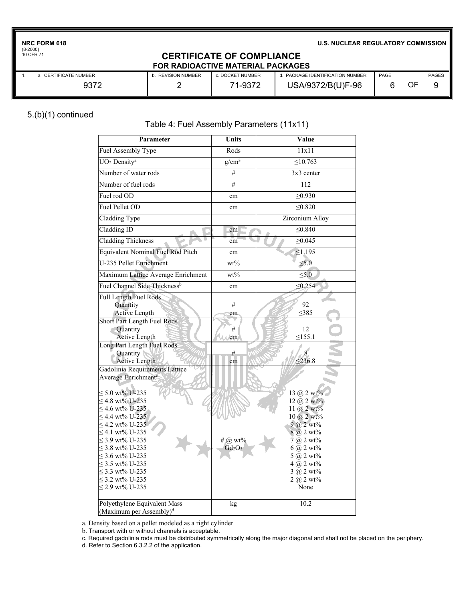**NRC FORM 618**

(8-2000) 10 CFR 71

**U.S. NUCLEAR REGULATORY COMMISSION**

#### **CERTIFICATE OF COMPLIANCE FOR RADIOACTIVE MATERIAL PACKAGES**

| a. CERTIFICATE NUMBER | . REVISION NUMBER | c. DOCKET NUMBER | . PACKAGE IDENTIFICATION NUMBER | PAGE |    | <b>PAGES</b> |
|-----------------------|-------------------|------------------|---------------------------------|------|----|--------------|
| 9372                  |                   | 1-9372           | USA/9372/B(U)F-96               |      | ΟF |              |

# 5.(b)(1) continued

# Table 4: Fuel Assembly Parameters (11x11)

| Parameter                                                                                                                                                                                                                                                                                                                                                           | <b>Units</b>         | Value                                                                                                                                                                                                                                                         |
|---------------------------------------------------------------------------------------------------------------------------------------------------------------------------------------------------------------------------------------------------------------------------------------------------------------------------------------------------------------------|----------------------|---------------------------------------------------------------------------------------------------------------------------------------------------------------------------------------------------------------------------------------------------------------|
| Fuel Assembly Type                                                                                                                                                                                                                                                                                                                                                  | Rods                 | 11x11                                                                                                                                                                                                                                                         |
| UO <sub>2</sub> Density <sup>a</sup>                                                                                                                                                                                                                                                                                                                                | $g/cm^3$             | $\leq 10.763$                                                                                                                                                                                                                                                 |
| Number of water rods                                                                                                                                                                                                                                                                                                                                                | #                    | 3x3 center                                                                                                                                                                                                                                                    |
| Number of fuel rods                                                                                                                                                                                                                                                                                                                                                 | $\#$                 | $\overline{112}$                                                                                                                                                                                                                                              |
| Fuel rod OD                                                                                                                                                                                                                                                                                                                                                         | cm                   | $\geq 0.930$                                                                                                                                                                                                                                                  |
| Fuel Pellet OD                                                                                                                                                                                                                                                                                                                                                      | cm                   | < 0.820                                                                                                                                                                                                                                                       |
| Cladding Type                                                                                                                                                                                                                                                                                                                                                       |                      | Zirconium Alloy                                                                                                                                                                                                                                               |
| Cladding ID                                                                                                                                                                                                                                                                                                                                                         | cm                   | $\leq 0.840$                                                                                                                                                                                                                                                  |
| <b>Cladding Thickness</b>                                                                                                                                                                                                                                                                                                                                           | cm                   | $\geq 0.045$                                                                                                                                                                                                                                                  |
| <b>Equivalent Nominal Fuel Rod Pitch</b>                                                                                                                                                                                                                                                                                                                            | cm                   | $\leq 1.195$                                                                                                                                                                                                                                                  |
| U-235 Pellet Enrichment                                                                                                                                                                                                                                                                                                                                             | $wt\%$               | $\leq 5.0$                                                                                                                                                                                                                                                    |
| Maximum Lattice Average Enrichment                                                                                                                                                                                                                                                                                                                                  | $wt\%$               | $\leq 5.0$                                                                                                                                                                                                                                                    |
| Fuel Channel Side Thickness <sup>b</sup>                                                                                                                                                                                                                                                                                                                            | cm                   | $\leq 0.254$                                                                                                                                                                                                                                                  |
| Full Length Fuel Rods<br>Quantity<br><b>Active Length</b>                                                                                                                                                                                                                                                                                                           | #<br>cm              | 92<br>$\leq$ 385                                                                                                                                                                                                                                              |
| Short Part Length Fuel Rods<br>Quantity<br><b>Active Length</b>                                                                                                                                                                                                                                                                                                     | #<br>cm              | 12<br>$\leq$ 155.1                                                                                                                                                                                                                                            |
| Long Part Length Fuel Rods<br>Quantity<br><b>Active Length</b>                                                                                                                                                                                                                                                                                                      | #<br>cm              | $\leq 236.8$                                                                                                                                                                                                                                                  |
| Gadolinia Requirements Lattice<br>Average Enrichment <sup>e</sup><br>$\leq$ 5.0 wt% U-235<br>$<$ 4.8 wt% U-235<br>$\leq$ 4.6 wt% U-235<br>$\leq$ 4.4 wt% U-235<br>$\leq$ 4.2 wt% U-235<br>≤ 4.1 wt% U-235<br>$\leq$ 3.9 wt% U-235<br>$<$ 3.8 wt% U-235<br>$\leq$ 3.6 wt% U-235<br>$<$ 3.5 wt% U-235<br>$<$ 3.3 wt% U-235<br>$\leq$ 3.2 wt% U-235<br>≤ 2.9 wt% U-235 | # @ wt%<br>$Gd_2O_3$ | 13 (a) $2 \text{ wt} \%$<br>$12 \; (a) 2 \; wt\%$<br>11 @ $2 \text{ wt} \%$<br>$10\ (a) 2 \ wt\%$<br>9 @ 2 wt%<br>8 @ 2 wt%<br>$7$ (a) $2$ wt%<br>$6 \, \omega$ 2 wt%<br>$5 @ 2 wt\%$<br>$4 \, \omega$ 2 wt%<br>$3 \omega 2 wt\%$<br>$2 \omega$ 2 wt%<br>None |
| Polyethylene Equivalent Mass<br>(Maximum per Assembly) <sup>d</sup>                                                                                                                                                                                                                                                                                                 | kg                   | 10.2                                                                                                                                                                                                                                                          |

a. Density based on a pellet modeled as a right cylinder

b. Transport with or without channels is acceptable.

c. Required gadolinia rods must be distributed symmetrically along the major diagonal and shall not be placed on the periphery.

d. Refer to Section 6.3.2.2 of the application.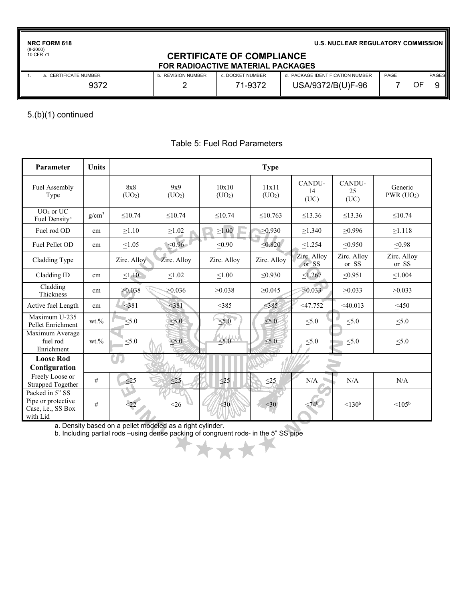**NRC FORM 618**

(8-2000) 10 CFR 71

**U.S. NUCLEAR REGULATORY COMMISSION**

### **CERTIFICATE OF COMPLIANCE FOR RADIOACTIVE MATERIAL PACKAGES**

| a. CERTIFICATE NUMBER | . REVISION NUMBER | c. DOCKET NUMBER | d. PACKAGE IDENTIFICATION NUMBER | PAGE |    | <b>PAGES</b> |
|-----------------------|-------------------|------------------|----------------------------------|------|----|--------------|
| 9372                  |                   | 71-9372          | USA/9372/B(U)F-96                |      | OF |              |

5.(b)(1) continued

| Parameter                                                               | <b>Units</b> |                           |                           |                             | <b>Type</b>                 |                      |                      |                                     |
|-------------------------------------------------------------------------|--------------|---------------------------|---------------------------|-----------------------------|-----------------------------|----------------------|----------------------|-------------------------------------|
| Fuel Assembly<br>Type                                                   |              | 8x8<br>(UO <sub>2</sub> ) | 9x9<br>(UO <sub>2</sub> ) | 10x10<br>(UO <sub>2</sub> ) | 11x11<br>(UO <sub>2</sub> ) | CANDU-<br>14<br>(UC) | CANDU-<br>25<br>(UC) | Generic<br>$PWR$ (UO <sub>2</sub> ) |
| $UO2$ or $UC$<br>Fuel Density <sup>a</sup>                              | $g/cm^3$     | < 10.74                   | < 10.74                   | < 10.74                     | $\leq 10.763$               | < 13.36              | < 13.36              | < 10.74                             |
| Fuel rod OD                                                             | cm           | >1.10                     | $\geq$ 1.02               | $\geq1.00$                  | >0.930                      | >1.340               | >0.996               | >1.118                              |
| Fuel Pellet OD                                                          | cm           | $\leq1.05$                | $\leq 0.96$               | $\leq 0.90$                 | $\leq 0.820$                | $\leq$ 1.254         | $\leq 0.950$         | < 0.98                              |
| Cladding Type                                                           |              | Zirc. Alloy               | Zirc. Alloy               | Zirc. Alloy                 | Zirc. Alloy                 | Zirc. Alloy<br>or SS | Zirc. Alloy<br>or SS | Zirc. Alloy<br>or SS                |
| Cladding ID                                                             | cm           | $\leq 1.10$               | $\leq1.02$                | $\leq 1.00$                 | $\leq 0.930$                | $\leq 1.267$         | $\leq 0.951$         | $\leq 1.004$                        |
| Cladding<br>Thickness                                                   | cm           | >0.038                    | >0.036                    | >0.038                      | $\geq 0.045$                | $\geq 0.033$         | >0.033               | >0.033                              |
| Active fuel Length                                                      | cm           | $\leq$ 381                | $381$                     | $\leq$ 385                  | $\leq$ 385                  | $\leq$ 47.752        | $<$ 40.013           | $\leq 450$                          |
| Maximum U-235<br>Pellet Enrichment                                      | $wt. \%$     | $\leq 5.0$                | < 5.0                     | $\leq 5.0$                  | $\leq 5.0$                  | $\leq 5.0$           | $\leq 5.0$           | $\leq 5.0$                          |
| Maximum Average<br>fuel rod<br>Enrichment                               | $wt. \%$     | $\leq 5.0$                | $\leq 5.0$                | < 5.0                       | $\leq 5.0$                  | $\leq 5.0$           | $\leq 5.0$           | $\leq 5.0$                          |
| <b>Loose Rod</b><br>Configuration                                       |              |                           |                           |                             |                             |                      |                      |                                     |
| Freely Loose or<br><b>Strapped Together</b>                             | #            | <25                       | $\leq$ 25                 | $\leq$ 25                   | $\leq$ 25                   | N/A                  | N/A                  | N/A                                 |
| Packed in 5" SS<br>Pipe or protective<br>Case, i.e., SS Box<br>with Lid | #            | $\leq$ 22                 | $\leq 26$                 | $\leq 30$                   | $<$ 30                      | $< 74^{\circ}$       | < 130 <sup>b</sup>   | $< 105^{\rm b}$                     |

#### Table 5: Fuel Rod Parameters

a. Density based on a pellet modeled as a right cylinder.

b. Including partial rods –using dense packing of congruent rods- in the 5" SS pipe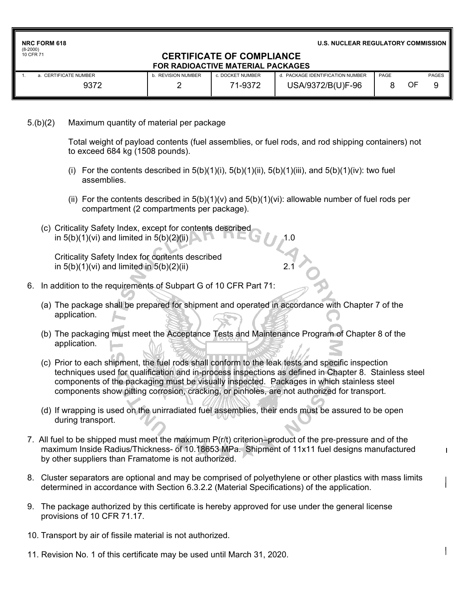|            | <b>NRC FORM 618</b> |  |
|------------|---------------------|--|
| $(8-2000)$ |                     |  |

(8-2000) 10 CFR 71

#### **U.S. NUCLEAR REGULATORY COMMISSION**

#### **CERTIFICATE OF COMPLIANCE FOR RADIOACTIVE MATERIAL PACKAGES**

| a. CERTIFICATE NUMBER | . REVISION NUMBER | c. DOCKET NUMBER | PACKAGE IDENTIFICATION NUMBER | PAGE |    | <b>PAGES</b> |
|-----------------------|-------------------|------------------|-------------------------------|------|----|--------------|
| 9372                  |                   | 71-9372          | USA/9372/B(U)F-96             |      | OF |              |

## 5.(b)(2) Maximum quantity of material per package

Total weight of payload contents (fuel assemblies, or fuel rods, and rod shipping containers) not to exceed 684 kg (1508 pounds).

- (i) For the contents described in  $5(b)(1)(i)$ ,  $5(b)(1)(ii)$ ,  $5(b)(1)(iii)$ , and  $5(b)(1)(iv)$ : two fuel assemblies.
- (ii) For the contents described in  $5(b)(1)(v)$  and  $5(b)(1)(vi)$ : allowable number of fuel rods per compartment (2 compartments per package).
- (c) Criticality Safety Index, except for contents described in  $5(b)(1)(vi)$  and limited in  $5(b)(2)(ii)$

 Criticality Safety Index for contents described in  $5(b)(1)(vi)$  and limited in  $5(b)(2)(ii)$ 

- 6. In addition to the requirements of Subpart G of 10 CFR Part 71:
	- (a) The package shall be prepared for shipment and operated in accordance with Chapter 7 of the application.
	- (b) The packaging must meet the Acceptance Tests and Maintenance Program of Chapter 8 of the application.
	- (c) Prior to each shipment, the fuel rods shall conform to the leak tests and specific inspection techniques used for qualification and in-process inspections as defined in Chapter 8. Stainless steel components of the packaging must be visually inspected. Packages in which stainless steel components show pitting corrosion, cracking, or pinholes, are not authorized for transport.
	- (d) If wrapping is used on the unirradiated fuel assemblies, their ends must be assured to be open during transport.
- 7. All fuel to be shipped must meet the maximum P(r/t) criterion–product of the pre-pressure and of the maximum Inside Radius/Thickness- of 10.18653 MPa. Shipment of 11x11 fuel designs manufactured by other suppliers than Framatome is not authorized.
- 8. Cluster separators are optional and may be comprised of polyethylene or other plastics with mass limits determined in accordance with Section 6.3.2.2 (Material Specifications) of the application.
- 9. The package authorized by this certificate is hereby approved for use under the general license provisions of 10 CFR 71.17.
- 10. Transport by air of fissile material is not authorized.
- 11. Revision No. 1 of this certificate may be used until March 31, 2020.